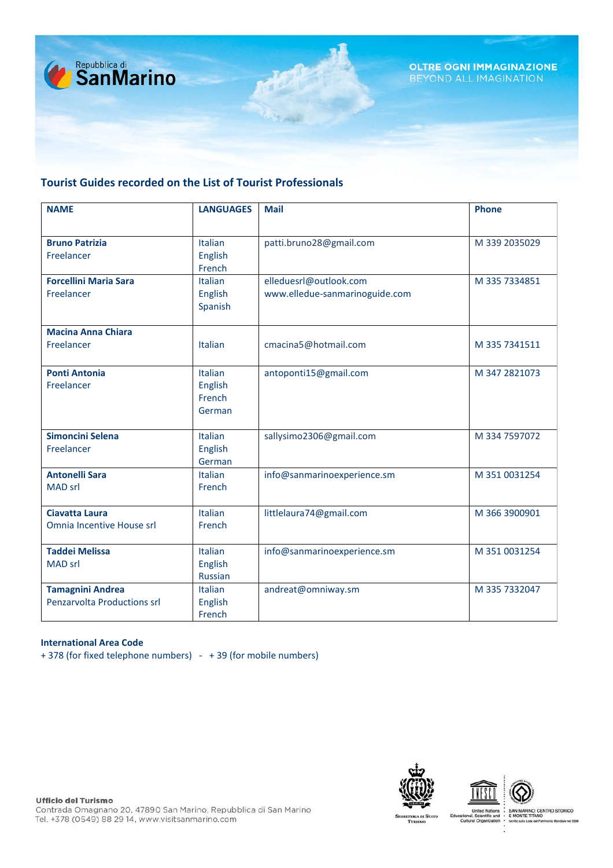

### **Tourist Guides recorded on the List of Tourist Professionals**

| <b>NAME</b>                  | <b>LANGUAGES</b> | <b>Mail</b>                    | <b>Phone</b>  |
|------------------------------|------------------|--------------------------------|---------------|
|                              |                  |                                |               |
| <b>Bruno Patrizia</b>        | Italian          | patti.bruno28@gmail.com        | M 339 2035029 |
| Freelancer                   | English          |                                |               |
|                              | French           |                                |               |
| <b>Forcellini Maria Sara</b> | Italian          | elleduesrl@outlook.com         | M 335 7334851 |
| Freelancer                   | English          | www.elledue-sanmarinoguide.com |               |
|                              | Spanish          |                                |               |
| <b>Macina Anna Chiara</b>    |                  |                                |               |
| Freelancer                   | Italian          | cmacina5@hotmail.com           | M 335 7341511 |
|                              |                  |                                |               |
| <b>Ponti Antonia</b>         | <b>Italian</b>   | antoponti15@gmail.com          | M 347 2821073 |
| Freelancer                   | English          |                                |               |
|                              | French           |                                |               |
|                              | German           |                                |               |
| Simoncini Selena             | Italian          | sallysimo2306@gmail.com        | M 334 7597072 |
| Freelancer                   | <b>English</b>   |                                |               |
|                              | German           |                                |               |
| <b>Antonelli Sara</b>        | <b>Italian</b>   | info@sanmarinoexperience.sm    | M 351 0031254 |
| <b>MAD srl</b>               | French           |                                |               |
|                              |                  |                                |               |
| <b>Ciavatta Laura</b>        | <b>Italian</b>   | littlelaura74@gmail.com        | M 366 3900901 |
| Omnia Incentive House srl    | French           |                                |               |
| <b>Taddei Melissa</b>        | Italian          | info@sanmarinoexperience.sm    | M 351 0031254 |
| <b>MAD srl</b>               | English          |                                |               |
|                              | <b>Russian</b>   |                                |               |
| <b>Tamagnini Andrea</b>      | Italian          | andreat@omniway.sm             | M 335 7332047 |
| Penzarvolta Productions srl  | English          |                                |               |
|                              | French           |                                |               |

#### **International Area Code**

+ 378 (for fixed telephone numbers) - + 39 (for mobile numbers)





**Ufficio del Turismo** 

SAN MARINO: CENTRO STORICO<br>E MONTE TITANO<br>Iscrito sulla Lista del Patrimonio Mondiale nel 200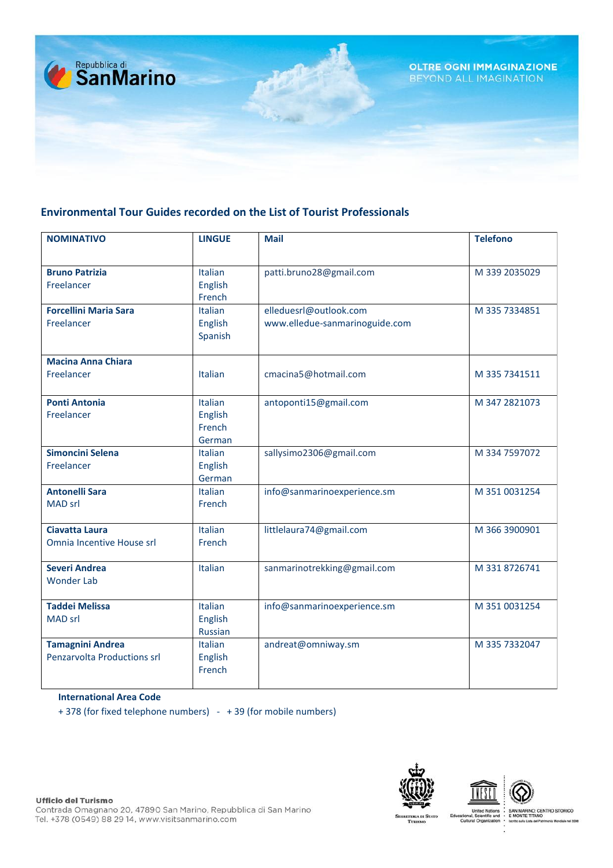

## **Environmental Tour Guides recorded on the List of Tourist Professionals**

| <b>NOMINATIVO</b>            | <b>LINGUE</b>  | <b>Mail</b>                    | <b>Telefono</b> |
|------------------------------|----------------|--------------------------------|-----------------|
|                              |                |                                |                 |
| <b>Bruno Patrizia</b>        | <b>Italian</b> | patti.bruno28@gmail.com        | M 339 2035029   |
| Freelancer                   | English        |                                |                 |
|                              | French         |                                |                 |
| <b>Forcellini Maria Sara</b> | <b>Italian</b> | elleduesrl@outlook.com         | M 335 7334851   |
| Freelancer                   | English        | www.elledue-sanmarinoguide.com |                 |
|                              | Spanish        |                                |                 |
| <b>Macina Anna Chiara</b>    |                |                                |                 |
| Freelancer                   | <b>Italian</b> | cmacina5@hotmail.com           | M 335 7341511   |
| <b>Ponti Antonia</b>         | Italian        |                                |                 |
| Freelancer                   | English        | antoponti15@gmail.com          | M 347 2821073   |
|                              | French         |                                |                 |
|                              | German         |                                |                 |
| Simoncini Selena             | Italian        | sallysimo2306@gmail.com        | M 334 7597072   |
| Freelancer                   | English        |                                |                 |
|                              | German         |                                |                 |
| <b>Antonelli Sara</b>        | <b>Italian</b> | info@sanmarinoexperience.sm    | M 351 0031254   |
| <b>MAD srl</b>               | French         |                                |                 |
| <b>Ciavatta Laura</b>        | Italian        | littlelaura74@gmail.com        | M 366 3900901   |
| Omnia Incentive House srl    | French         |                                |                 |
| <b>Severi Andrea</b>         | Italian        | sanmarinotrekking@gmail.com    | M 331 8726741   |
| <b>Wonder Lab</b>            |                |                                |                 |
|                              |                |                                |                 |
| <b>Taddei Melissa</b>        | Italian        | info@sanmarinoexperience.sm    | M 351 0031254   |
| <b>MAD srl</b>               | English        |                                |                 |
|                              | <b>Russian</b> |                                |                 |
| <b>Tamagnini Andrea</b>      | Italian        | andreat@omniway.sm             | M 335 7332047   |
| Penzarvolta Productions srl  | English        |                                |                 |
|                              | French         |                                |                 |
|                              |                |                                |                 |

#### **International Area Code**

+ 378 (for fixed telephone numbers) - + 39 (for mobile numbers)





SAN MARINO: CENTRO STORICO<br>E MONTE TITANO<br>Iscrito sulla Lista del Patrimonio Mondiale nel 200